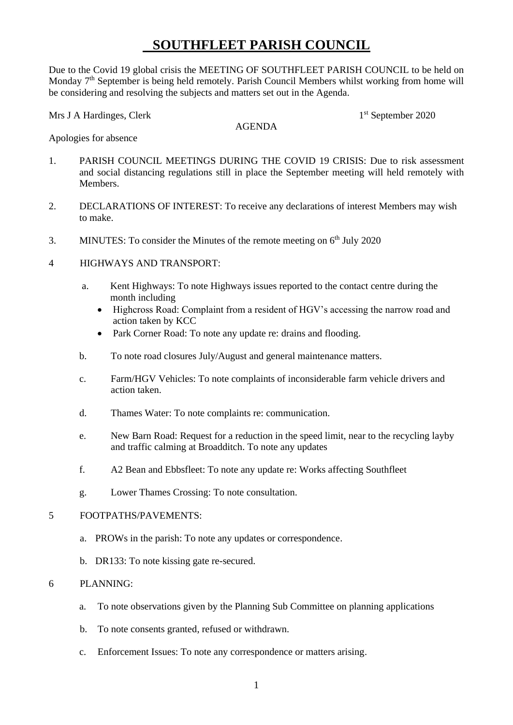## **SOUTHFLEET PARISH COUNCIL**

Due to the Covid 19 global crisis the MEETING OF SOUTHFLEET PARISH COUNCIL to be held on Monday 7<sup>th</sup> September is being held remotely. Parish Council Members whilst working from home will be considering and resolving the subjects and matters set out in the Agenda.

Mrs J A Hardinges, Clerk

AGENDA

1<sup>st</sup> September 2020

Apologies for absence

- 1. PARISH COUNCIL MEETINGS DURING THE COVID 19 CRISIS: Due to risk assessment and social distancing regulations still in place the September meeting will held remotely with Members.
- 2. DECLARATIONS OF INTEREST: To receive any declarations of interest Members may wish to make.
- 3. MINUTES: To consider the Minutes of the remote meeting on  $6<sup>th</sup>$  July 2020
- 4 HIGHWAYS AND TRANSPORT:
	- a. Kent Highways: To note Highways issues reported to the contact centre during the month including
		- Highcross Road: Complaint from a resident of HGV's accessing the narrow road and action taken by KCC
		- Park Corner Road: To note any update re: drains and flooding.
	- b. To note road closures July/August and general maintenance matters.
	- c. Farm/HGV Vehicles: To note complaints of inconsiderable farm vehicle drivers and action taken.
	- d. Thames Water: To note complaints re: communication.
	- e. New Barn Road: Request for a reduction in the speed limit, near to the recycling layby and traffic calming at Broadditch. To note any updates
	- f. A2 Bean and Ebbsfleet: To note any update re: Works affecting Southfleet
	- g. Lower Thames Crossing: To note consultation.

## 5 FOOTPATHS/PAVEMENTS:

- a. PROWs in the parish: To note any updates or correspondence.
- b. DR133: To note kissing gate re-secured.

## 6 PLANNING:

- a. To note observations given by the Planning Sub Committee on planning applications
- b. To note consents granted, refused or withdrawn.
- c. Enforcement Issues: To note any correspondence or matters arising.